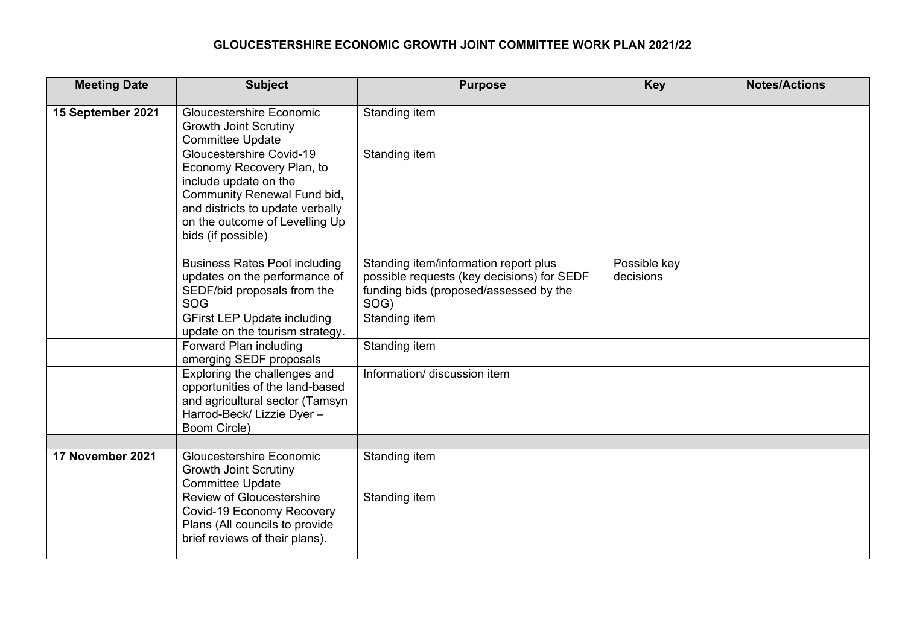## **GLOUCESTERSHIRE ECONOMIC GROWTH JOINT COMMITTEE WORK PLAN 2021/22**

| <b>Meeting Date</b> | <b>Subject</b>                                                                                                                                                                                            | <b>Purpose</b>                                                                                                                        | <b>Key</b>                | <b>Notes/Actions</b> |
|---------------------|-----------------------------------------------------------------------------------------------------------------------------------------------------------------------------------------------------------|---------------------------------------------------------------------------------------------------------------------------------------|---------------------------|----------------------|
| 15 September 2021   | <b>Gloucestershire Economic</b><br><b>Growth Joint Scrutiny</b><br><b>Committee Update</b>                                                                                                                | Standing item                                                                                                                         |                           |                      |
|                     | Gloucestershire Covid-19<br>Economy Recovery Plan, to<br>include update on the<br>Community Renewal Fund bid,<br>and districts to update verbally<br>on the outcome of Levelling Up<br>bids (if possible) | Standing item                                                                                                                         |                           |                      |
|                     | <b>Business Rates Pool including</b><br>updates on the performance of<br>SEDF/bid proposals from the<br>SOG                                                                                               | Standing item/information report plus<br>possible requests (key decisions) for SEDF<br>funding bids (proposed/assessed by the<br>SOG) | Possible key<br>decisions |                      |
|                     | <b>GFirst LEP Update including</b><br>update on the tourism strategy.                                                                                                                                     | Standing item                                                                                                                         |                           |                      |
|                     | Forward Plan including<br>emerging SEDF proposals                                                                                                                                                         | Standing item                                                                                                                         |                           |                      |
|                     | Exploring the challenges and<br>opportunities of the land-based<br>and agricultural sector (Tamsyn<br>Harrod-Beck/ Lizzie Dyer -<br>Boom Circle)                                                          | Information/ discussion item                                                                                                          |                           |                      |
| 17 November 2021    | Gloucestershire Economic                                                                                                                                                                                  | Standing item                                                                                                                         |                           |                      |
|                     | <b>Growth Joint Scrutiny</b><br><b>Committee Update</b>                                                                                                                                                   |                                                                                                                                       |                           |                      |
|                     | <b>Review of Gloucestershire</b><br>Covid-19 Economy Recovery<br>Plans (All councils to provide<br>brief reviews of their plans).                                                                         | Standing item                                                                                                                         |                           |                      |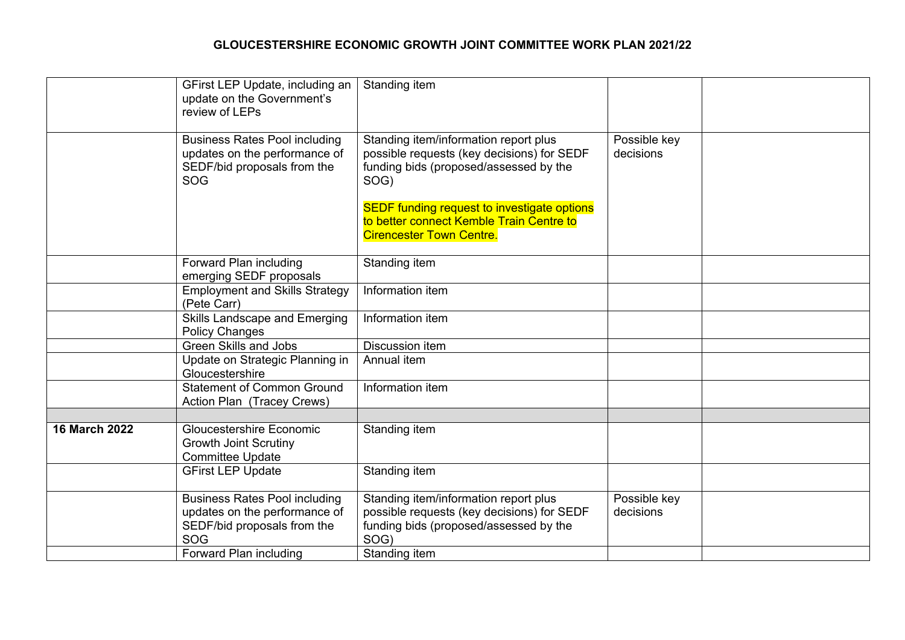## **GLOUCESTERSHIRE ECONOMIC GROWTH JOINT COMMITTEE WORK PLAN 2021/22**

|                      | GFirst LEP Update, including an<br>update on the Government's<br>review of LEPs            | Standing item                                                                                        |                           |  |
|----------------------|--------------------------------------------------------------------------------------------|------------------------------------------------------------------------------------------------------|---------------------------|--|
|                      | <b>Business Rates Pool including</b><br>updates on the performance of                      | Standing item/information report plus<br>possible requests (key decisions) for SEDF                  | Possible key<br>decisions |  |
|                      | SEDF/bid proposals from the<br><b>SOG</b>                                                  | funding bids (proposed/assessed by the<br>SOG)<br><b>SEDF funding request to investigate options</b> |                           |  |
|                      |                                                                                            | to better connect Kemble Train Centre to<br><b>Cirencester Town Centre.</b>                          |                           |  |
|                      | Forward Plan including<br>emerging SEDF proposals                                          | Standing item                                                                                        |                           |  |
|                      | <b>Employment and Skills Strategy</b><br>(Pete Carr)                                       | Information item                                                                                     |                           |  |
|                      | Skills Landscape and Emerging<br><b>Policy Changes</b>                                     | Information item                                                                                     |                           |  |
|                      | <b>Green Skills and Jobs</b>                                                               | Discussion item                                                                                      |                           |  |
|                      | Update on Strategic Planning in<br>Gloucestershire                                         | Annual item                                                                                          |                           |  |
|                      | <b>Statement of Common Ground</b><br>Action Plan (Tracey Crews)                            | Information item                                                                                     |                           |  |
|                      |                                                                                            |                                                                                                      |                           |  |
| <b>16 March 2022</b> | <b>Gloucestershire Economic</b><br><b>Growth Joint Scrutiny</b><br><b>Committee Update</b> | Standing item                                                                                        |                           |  |
|                      | <b>GFirst LEP Update</b>                                                                   | Standing item                                                                                        |                           |  |
|                      | <b>Business Rates Pool including</b>                                                       | Standing item/information report plus                                                                | Possible key              |  |
|                      | updates on the performance of                                                              | possible requests (key decisions) for SEDF                                                           | decisions                 |  |
|                      | SEDF/bid proposals from the<br>SOG                                                         | funding bids (proposed/assessed by the<br>SOG)                                                       |                           |  |
|                      | Forward Plan including                                                                     | Standing item                                                                                        |                           |  |